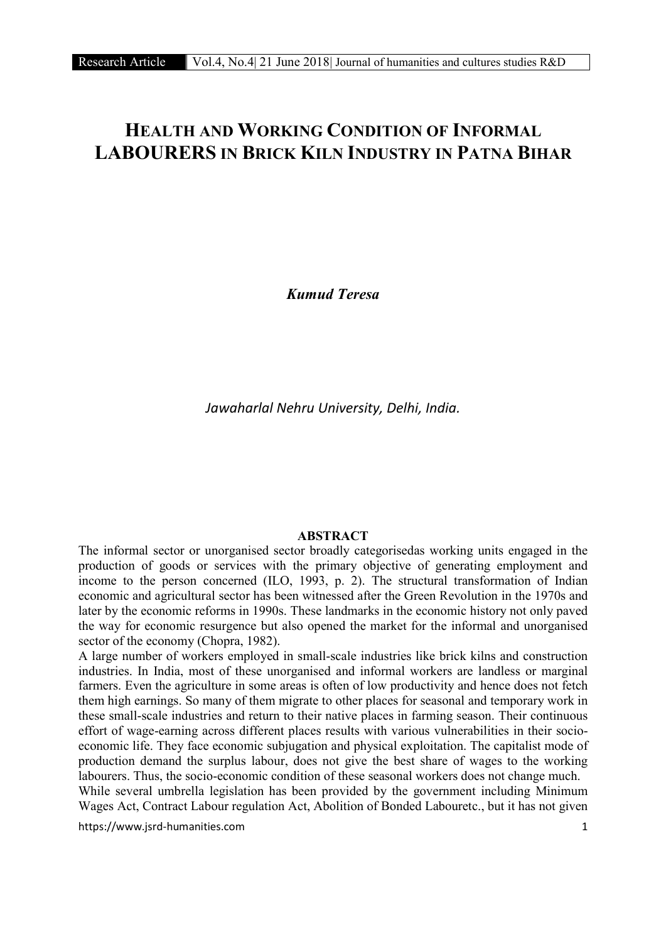# HEALTH AND WORKING CONDITION OF INFORMAL LABOURERS IN BRICK KILN INDUSTRY IN PATNA BIHAR

*Kumud Teresa*

*Jawaharlal Nehru University, Delhi, India.*

# ABSTRACT

The informal sector or unorganised sector broadly categorisedas working units engaged in the production of goods or services with the primary objective of generating employment and income to the person concerned (ILO, 1993, p. 2). The structural transformation of Indian economic and agricultural sector has been witnessed after the Green Revolution in the 1970s and later by the economic reforms in 1990s. These landmarks in the economic history not only paved the way for economic resurgence but also opened the market for the informal and unorganised sector of the economy (Chopra, 1982).

A large number of workers employed in small-scale industries like brick kilns and construction industries. In India, most of these unorganised and informal workers are landless or marginal farmers. Even the agriculture in some areas is often of low productivity and hence does not fetch them high earnings. So many of them migrate to other places for seasonal and temporary work in these small-scale industries and return to their native places in farming season. Their continuous effort of wage-earning across different places results with various vulnerabilities in their socioeconomic life. They face economic subjugation and physical exploitation. The capitalist mode of production demand the surplus labour, does not give the best share of wages to the working labourers. Thus, the socio-economic condition of these seasonal workers does not change much.

While several umbrella legislation has been provided by the government including Minimum Wages Act, Contract Labour regulation Act, Abolition of Bonded Labouretc., but it has not given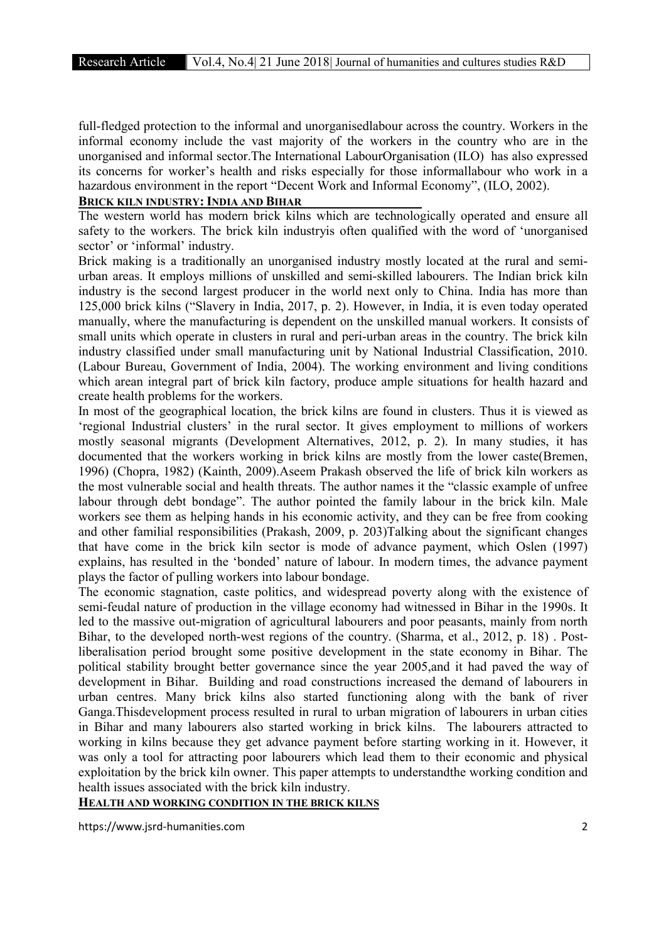full-fledged protection to the informal and unorganisedlabour across the country. Workers in the informal economy include the vast majority of the workers in the country who are in the unorganised and informal sector.The International LabourOrganisation (ILO) has also expressed its concerns for worker's health and risks especially for those informallabour who work in a hazardous environment in the report "Decent Work and Informal Economy", (ILO, 2002).

# BRICK KILN INDUSTRY: INDIA AND BIHAR

The western world has modern brick kilns which are technologically operated and ensure all safety to the workers. The brick kiln industryis often qualified with the word of 'unorganised sector' or 'informal' industry.

Brick making is a traditionally an unorganised industry mostly located at the rural and semiurban areas. It employs millions of unskilled and semi-skilled labourers. The Indian brick kiln industry is the second largest producer in the world next only to China. India has more than 125,000 brick kilns ("Slavery in India, 2017, p. 2). However, in India, it is even today operated manually, where the manufacturing is dependent on the unskilled manual workers. It consists of small units which operate in clusters in rural and peri-urban areas in the country. The brick kiln industry classified under small manufacturing unit by National Industrial Classification, 2010. (Labour Bureau, Government of India, 2004). The working environment and living conditions which arean integral part of brick kiln factory, produce ample situations for health hazard and create health problems for the workers.

In most of the geographical location, the brick kilns are found in clusters. Thus it is viewed as 'regional Industrial clusters' in the rural sector. It gives employment to millions of workers mostly seasonal migrants (Development Alternatives, 2012, p. 2). In many studies, it has documented that the workers working in brick kilns are mostly from the lower caste(Bremen, 1996) (Chopra, 1982) (Kainth, 2009).Aseem Prakash observed the life of brick kiln workers as the most vulnerable social and health threats. The author names it the "classic example of unfree labour through debt bondage". The author pointed the family labour in the brick kiln. Male workers see them as helping hands in his economic activity, and they can be free from cooking and other familial responsibilities (Prakash, 2009, p. 203)Talking about the significant changes that have come in the brick kiln sector is mode of advance payment, which Oslen (1997) explains, has resulted in the 'bonded' nature of labour. In modern times, the advance payment plays the factor of pulling workers into labour bondage.

The economic stagnation, caste politics, and widespread poverty along with the existence of semi-feudal nature of production in the village economy had witnessed in Bihar in the 1990s. It led to the massive out-migration of agricultural labourers and poor peasants, mainly from north Bihar, to the developed north-west regions of the country. (Sharma, et al., 2012, p. 18) . Postliberalisation period brought some positive development in the state economy in Bihar. The political stability brought better governance since the year 2005,and it had paved the way of development in Bihar. Building and road constructions increased the demand of labourers in urban centres. Many brick kilns also started functioning along with the bank of river Ganga.Thisdevelopment process resulted in rural to urban migration of labourers in urban cities in Bihar and many labourers also started working in brick kilns. The labourers attracted to working in kilns because they get advance payment before starting working in it. However, it was only a tool for attracting poor labourers which lead them to their economic and physical exploitation by the brick kiln owner. This paper attempts to understandthe working condition and health issues associated with the brick kiln industry.

HEALTH AND WORKING CONDITION IN THE BRICK KILNS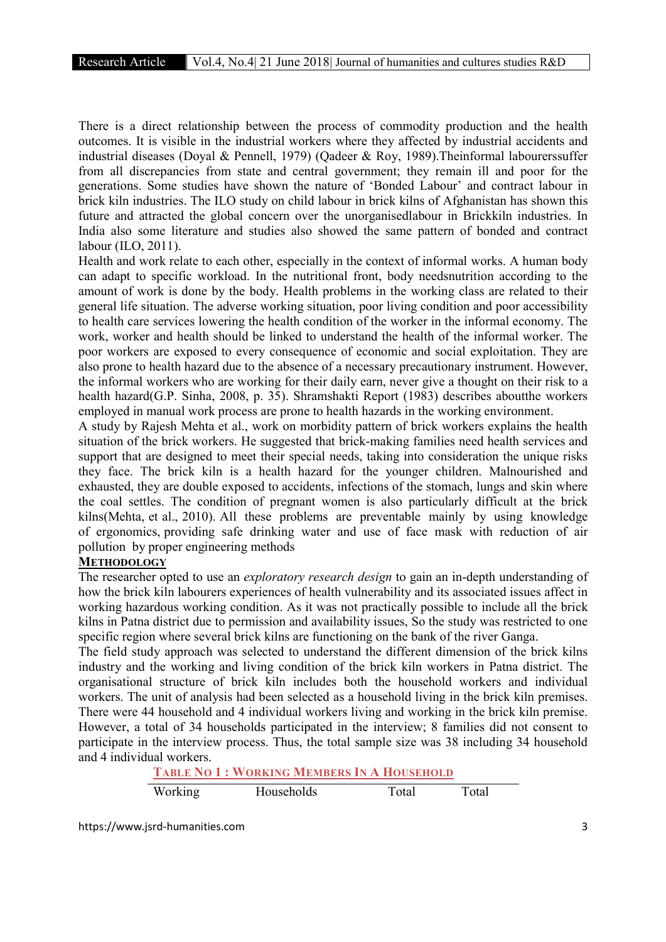There is a direct relationship between the process of commodity production and the health outcomes. It is visible in the industrial workers where they affected by industrial accidents and industrial diseases (Doyal & Pennell, 1979) (Oadeer & Roy, 1989). Theinformal labourers suffer from all discrepancies from state and central government; they remain ill and poor for the generations. Some studies have shown the nature of 'Bonded Labour' and contract labour in brick kiln industries. The ILO study on child labour in brick kilns of Afghanistan has shown this future and attracted the global concern over the unorganisedlabour in Brickkiln industries. In India also some literature and studies also showed the same pattern of bonded and contract labour (ILO, 2011).

Health and work relate to each other, especially in the context of informal works. A human body can adapt to specific workload. In the nutritional front, body needsnutrition according to the amount of work is done by the body. Health problems in the working class are related to their general life situation. The adverse working situation, poor living condition and poor accessibility to health care services lowering the health condition of the worker in the informal economy. The work, worker and health should be linked to understand the health of the informal worker. The poor workers are exposed to every consequence of economic and social exploitation. They are also prone to health hazard due to the absence of a necessary precautionary instrument. However, the informal workers who are working for their daily earn, never give a thought on their risk to a health hazard(G.P. Sinha, 2008, p. 35). Shramshakti Report (1983) describes aboutthe workers employed in manual work process are prone to health hazards in the working environment.

A study by Rajesh Mehta et al., work on morbidity pattern of brick workers explains the health situation of the brick workers. He suggested that brick-making families need health services and support that are designed to meet their special needs, taking into consideration the unique risks they face. The brick kiln is a health hazard for the younger children. Malnourished and exhausted, they are double exposed to accidents, infections of the stomach, lungs and skin where the coal settles. The condition of pregnant women is also particularly difficult at the brick kilns(Mehta, et al., 2010). All these problems are preventable mainly by using knowledge of ergonomics, providing safe drinking water and use of face mask with reduction of air pollution by proper engineering methods

# **METHODOLOGY**

The researcher opted to use an *exploratory research design* to gain an in-depth understanding of how the brick kiln labourers experiences of health vulnerability and its associated issues affect in working hazardous working condition. As it was not practically possible to include all the brick kilns in Patna district due to permission and availability issues, So the study was restricted to one specific region where several brick kilns are functioning on the bank of the river Ganga.

The field study approach was selected to understand the different dimension of the brick kilns industry and the working and living condition of the brick kiln workers in Patna district. The organisational structure of brick kiln includes both the household workers and individual workers. The unit of analysis had been selected as a household living in the brick kiln premises. There were 44 household and 4 individual workers living and working in the brick kiln premise. However, a total of 34 households participated in the interview; 8 families did not consent to participate in the interview process. Thus, the total sample size was 38 including 34 household and 4 individual workers.

TABLE NO 1 : WORKING MEMBERS IN A HOUSEHOLD

| Working<br>Households | Total | Total |
|-----------------------|-------|-------|
|-----------------------|-------|-------|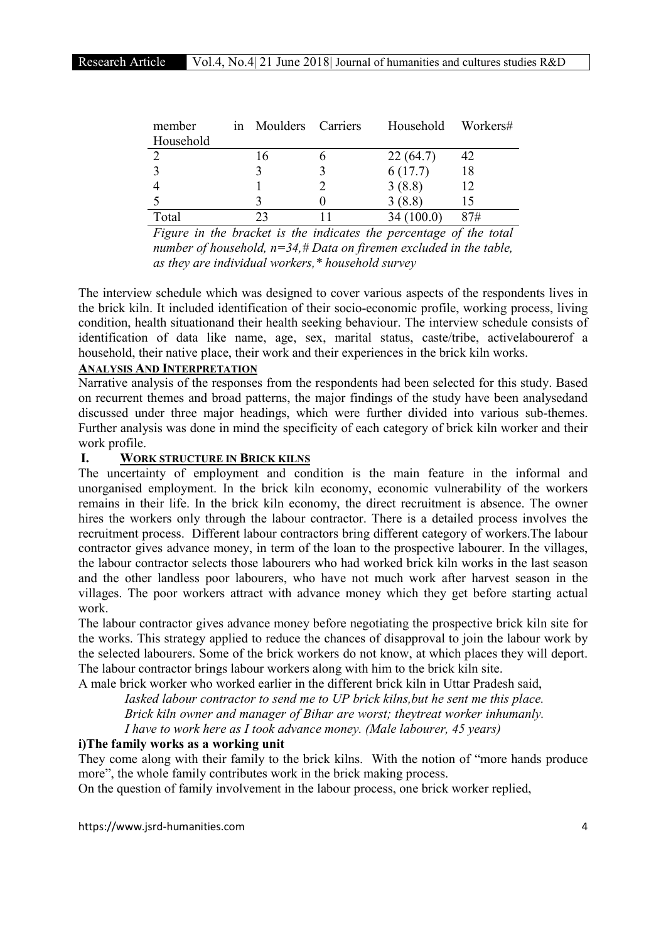| member    | in Moulders Carriers | Household Workers# |     |
|-----------|----------------------|--------------------|-----|
| Household |                      |                    |     |
|           |                      | 22(64.7)           | 42  |
|           |                      | 6(17.7)            | 18  |
|           |                      | 3(8.8)             | 12  |
|           |                      | 3(8.8)             | 15  |
| Total     |                      |                    | 87# |

*Figure in the bracket is the indicates the percentage of the total number of household, n=34,# Data on firemen excluded in the table, as they are individual workers,\* household survey*

The interview schedule which was designed to cover various aspects of the respondents lives in the brick kiln. It included identification of their socio-economic profile, working process, living condition, health situationand their health seeking behaviour. The interview schedule consists of identification of data like name, age, sex, marital status, caste/tribe, activelabourerof a household, their native place, their work and their experiences in the brick kiln works.

# ANALYSIS AND INTERPRETATION

Narrative analysis of the responses from the respondents had been selected for this study. Based on recurrent themes and broad patterns, the major findings of the study have been analysedand discussed under three major headings, which were further divided into various sub-themes. Further analysis was done in mind the specificity of each category of brick kiln worker and their work profile.

# I. WORK STRUCTURE IN BRICK KILNS

The uncertainty of employment and condition is the main feature in the informal and unorganised employment. In the brick kiln economy, economic vulnerability of the workers remains in their life. In the brick kiln economy, the direct recruitment is absence. The owner hires the workers only through the labour contractor. There is a detailed process involves the recruitment process. Different labour contractors bring different category of workers.The labour contractor gives advance money, in term of the loan to the prospective labourer. In the villages, the labour contractor selects those labourers who had worked brick kiln works in the last season and the other landless poor labourers, who have not much work after harvest season in the villages. The poor workers attract with advance money which they get before starting actual work.

The labour contractor gives advance money before negotiating the prospective brick kiln site for the works. This strategy applied to reduce the chances of disapproval to join the labour work by the selected labourers. Some of the brick workers do not know, at which places they will deport. The labour contractor brings labour workers along with him to the brick kiln site.

A male brick worker who worked earlier in the different brick kiln in Uttar Pradesh said, *Iasked labour contractor to send me to UP brick kilns,but he sent me this place. Brick kiln owner and manager of Bihar are worst; theytreat worker inhumanly. I have to work here as I took advance money. (Male labourer, 45 years)*

## i)The family works as a working unit

They come along with their family to the brick kilns. With the notion of "more hands produce more", the whole family contributes work in the brick making process.

On the question of family involvement in the labour process, one brick worker replied,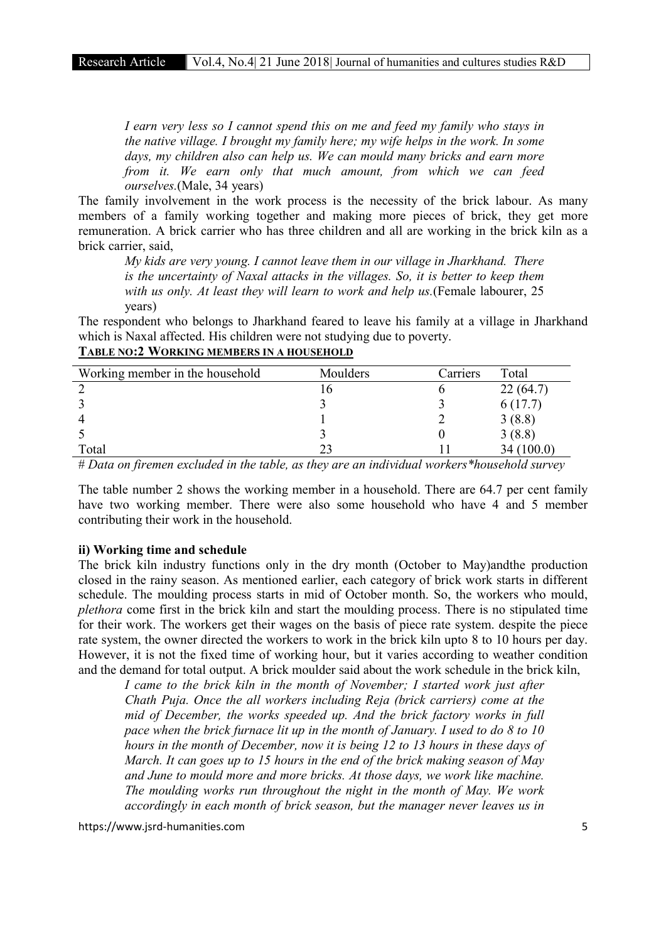*I earn very less so I cannot spend this on me and feed my family who stays in the native village. I brought my family here; my wife helps in the work. In some days, my children also can help us. We can mould many bricks and earn more from it. We earn only that much amount, from which we can feed ourselves.*(Male, 34 years)

The family involvement in the work process is the necessity of the brick labour. As many members of a family working together and making more pieces of brick, they get more remuneration. A brick carrier who has three children and all are working in the brick kiln as a brick carrier, said,

*My kids are very young. I cannot leave them in our village in Jharkhand. There is the uncertainty of Naxal attacks in the villages. So, it is better to keep them with us only. At least they will learn to work and help us.*(Female labourer, 25 years)

The respondent who belongs to Jharkhand feared to leave his family at a village in Jharkhand which is Naxal affected. His children were not studying due to poverty.

| Working member in the household | Moulders | Carriers | Total    |
|---------------------------------|----------|----------|----------|
|                                 | L O      |          | 22(64.7) |
|                                 |          |          | 6(17.7)  |
|                                 |          |          | 3(8.8)   |
|                                 |          |          | 3(8.8)   |
| Total                           |          |          | (100.0)  |

# TABLE NO:2 WORKING MEMBERS IN A HOUSEHOLD

# *Data on firemen excluded in the table, as they are an individual workers\*household survey*

The table number 2 shows the working member in a household. There are 64.7 per cent family have two working member. There were also some household who have 4 and 5 member contributing their work in the household.

#### ii) Working time and schedule

The brick kiln industry functions only in the dry month (October to May)andthe production closed in the rainy season. As mentioned earlier, each category of brick work starts in different schedule. The moulding process starts in mid of October month. So, the workers who mould, *plethora* come first in the brick kiln and start the moulding process. There is no stipulated time for their work. The workers get their wages on the basis of piece rate system. despite the piece rate system, the owner directed the workers to work in the brick kiln upto 8 to 10 hours per day. However, it is not the fixed time of working hour, but it varies according to weather condition and the demand for total output. A brick moulder said about the work schedule in the brick kiln,

*I came to the brick kiln in the month of November; I started work just after Chath Puja. Once the all workers including Reja (brick carriers) come at the mid of December, the works speeded up. And the brick factory works in full pace when the brick furnace lit up in the month of January. I used to do 8 to 10 hours in the month of December, now it is being 12 to 13 hours in these days of March. It can goes up to 15 hours in the end of the brick making season of May and June to mould more and more bricks. At those days, we work like machine. The moulding works run throughout the night in the month of May. We work accordingly in each month of brick season, but the manager never leaves us in*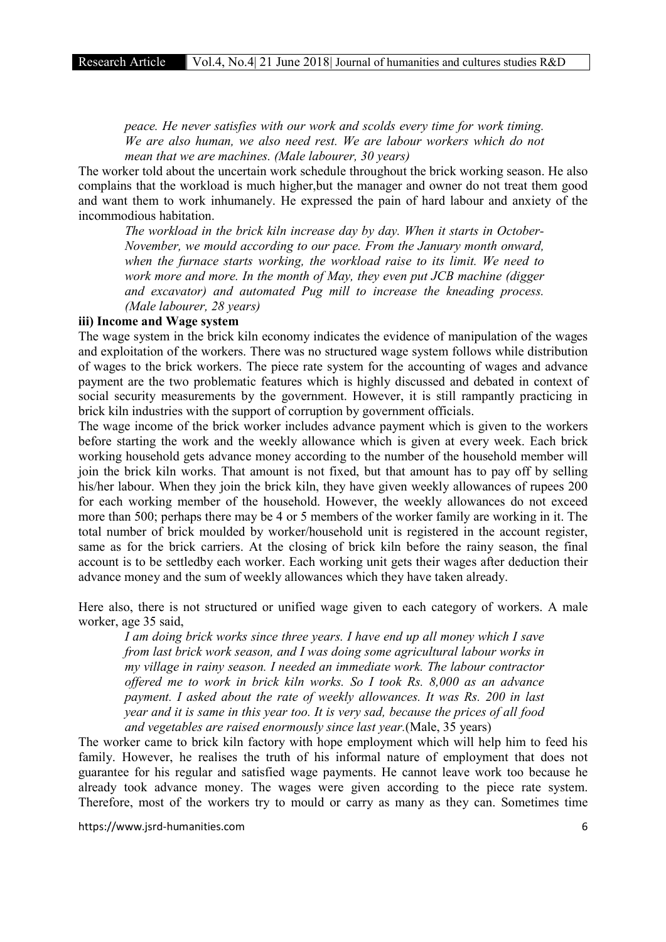*peace. He never satisfies with our work and scolds every time for work timing. We are also human, we also need rest. We are labour workers which do not mean that we are machines. (Male labourer, 30 years)*

The worker told about the uncertain work schedule throughout the brick working season. He also complains that the workload is much higher,but the manager and owner do not treat them good and want them to work inhumanely. He expressed the pain of hard labour and anxiety of the incommodious habitation.

*The workload in the brick kiln increase day by day. When it starts in October-November, we mould according to our pace. From the January month onward,*  when the furnace starts working, the workload raise to its limit. We need to *work more and more. In the month of May, they even put JCB machine (digger and excavator) and automated Pug mill to increase the kneading process. (Male labourer, 28 years)*

#### iii) Income and Wage system

The wage system in the brick kiln economy indicates the evidence of manipulation of the wages and exploitation of the workers. There was no structured wage system follows while distribution of wages to the brick workers. The piece rate system for the accounting of wages and advance payment are the two problematic features which is highly discussed and debated in context of social security measurements by the government. However, it is still rampantly practicing in brick kiln industries with the support of corruption by government officials.

The wage income of the brick worker includes advance payment which is given to the workers before starting the work and the weekly allowance which is given at every week. Each brick working household gets advance money according to the number of the household member will join the brick kiln works. That amount is not fixed, but that amount has to pay off by selling his/her labour. When they join the brick kiln, they have given weekly allowances of rupees 200 for each working member of the household. However, the weekly allowances do not exceed more than 500; perhaps there may be 4 or 5 members of the worker family are working in it. The total number of brick moulded by worker/household unit is registered in the account register, same as for the brick carriers. At the closing of brick kiln before the rainy season, the final account is to be settledby each worker. Each working unit gets their wages after deduction their advance money and the sum of weekly allowances which they have taken already.

Here also, there is not structured or unified wage given to each category of workers. A male worker, age 35 said,

*I am doing brick works since three years. I have end up all money which I save from last brick work season, and I was doing some agricultural labour works in my village in rainy season. I needed an immediate work. The labour contractor offered me to work in brick kiln works. So I took Rs. 8,000 as an advance payment. I asked about the rate of weekly allowances. It was Rs. 200 in last year and it is same in this year too. It is very sad, because the prices of all food and vegetables are raised enormously since last year.*(Male, 35 years)

The worker came to brick kiln factory with hope employment which will help him to feed his family. However, he realises the truth of his informal nature of employment that does not guarantee for his regular and satisfied wage payments. He cannot leave work too because he already took advance money. The wages were given according to the piece rate system. Therefore, most of the workers try to mould or carry as many as they can. Sometimes time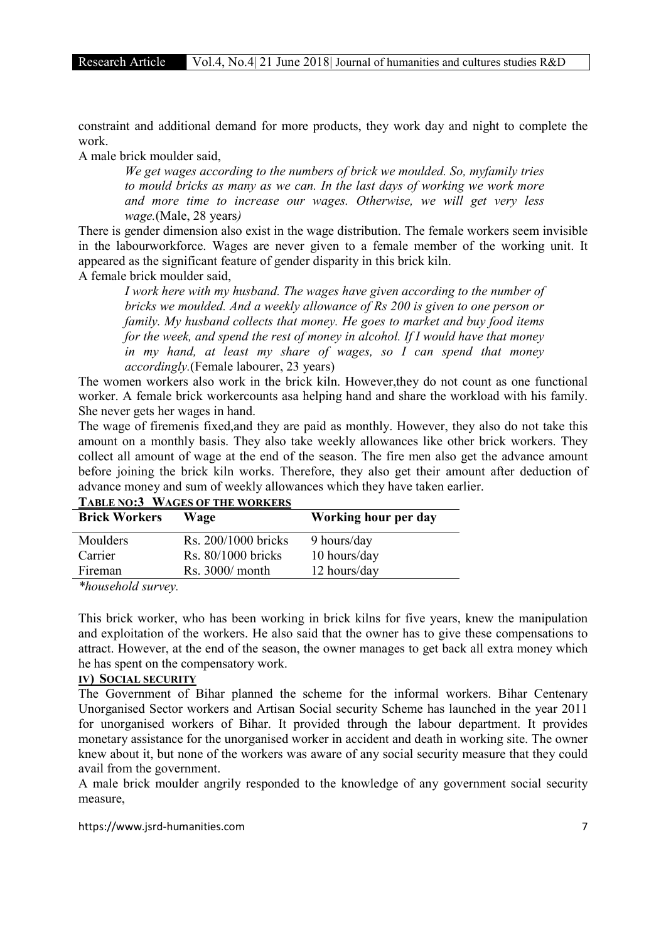constraint and additional demand for more products, they work day and night to complete the work.

A male brick moulder said,

*We get wages according to the numbers of brick we moulded. So, myfamily tries to mould bricks as many as we can. In the last days of working we work more and more time to increase our wages. Otherwise, we will get very less wage.*(Male, 28 years*)*

There is gender dimension also exist in the wage distribution. The female workers seem invisible in the labourworkforce. Wages are never given to a female member of the working unit. It appeared as the significant feature of gender disparity in this brick kiln.

A female brick moulder said,

*I work here with my husband. The wages have given according to the number of bricks we moulded. And a weekly allowance of Rs 200 is given to one person or family. My husband collects that money. He goes to market and buy food items for the week, and spend the rest of money in alcohol. If I would have that money in my hand, at least my share of wages, so I can spend that money accordingly.*(Female labourer, 23 years)

The women workers also work in the brick kiln. However,they do not count as one functional worker. A female brick workercounts asa helping hand and share the workload with his family. She never gets her wages in hand.

The wage of firemenis fixed,and they are paid as monthly. However, they also do not take this amount on a monthly basis. They also take weekly allowances like other brick workers. They collect all amount of wage at the end of the season. The fire men also get the advance amount before joining the brick kiln works. Therefore, they also get their amount after deduction of advance money and sum of weekly allowances which they have taken earlier.

| <b>Brick Workers</b> | Wage                | Working hour per day |
|----------------------|---------------------|----------------------|
| Moulders             | Rs. 200/1000 bricks | 9 hours/day          |
| Carrier              | Rs. 80/1000 bricks  | 10 hours/day         |
| Fireman              | $Rs. 3000/$ month   | 12 hours/day         |
|                      |                     |                      |

| <b>TABLE NO:3 WAGES OF THE WORKERS</b> |
|----------------------------------------|
|----------------------------------------|

*\*household survey.*

This brick worker, who has been working in brick kilns for five years, knew the manipulation and exploitation of the workers. He also said that the owner has to give these compensations to attract. However, at the end of the season, the owner manages to get back all extra money which he has spent on the compensatory work.

# IV) SOCIAL SECURITY

The Government of Bihar planned the scheme for the informal workers. Bihar Centenary Unorganised Sector workers and Artisan Social security Scheme has launched in the year 2011 for unorganised workers of Bihar. It provided through the labour department. It provides monetary assistance for the unorganised worker in accident and death in working site. The owner knew about it, but none of the workers was aware of any social security measure that they could avail from the government.

A male brick moulder angrily responded to the knowledge of any government social security measure,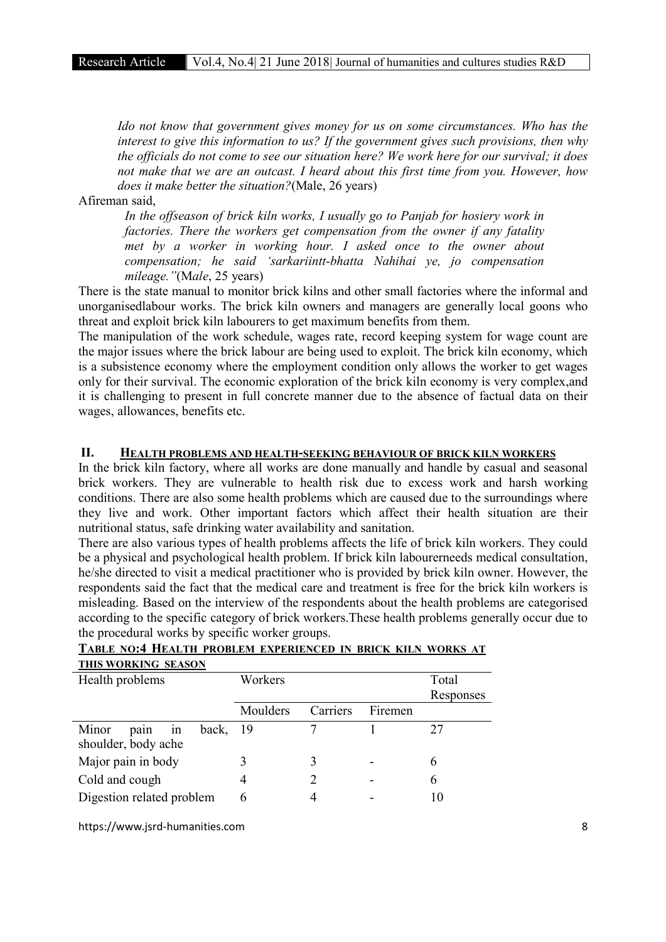*Ido not know that government gives money for us on some circumstances. Who has the interest to give this information to us? If the government gives such provisions, then why the officials do not come to see our situation here? We work here for our survival; it does not make that we are an outcast. I heard about this first time from you. However, how does it make better the situation?*(Male, 26 years)

Afireman said,

*In the offseason of brick kiln works, I usually go to Panjab for hosiery work in factories. There the workers get compensation from the owner if any fatality met by a worker in working hour. I asked once to the owner about compensation; he said 'sarkariintt-bhatta Nahihai ye, jo compensation mileage."*(M*ale*, 25 years)

There is the state manual to monitor brick kilns and other small factories where the informal and unorganisedlabour works. The brick kiln owners and managers are generally local goons who threat and exploit brick kiln labourers to get maximum benefits from them.

The manipulation of the work schedule, wages rate, record keeping system for wage count are the major issues where the brick labour are being used to exploit. The brick kiln economy, which is a subsistence economy where the employment condition only allows the worker to get wages only for their survival. The economic exploration of the brick kiln economy is very complex,and it is challenging to present in full concrete manner due to the absence of factual data on their wages, allowances, benefits etc.

#### II. HEALTH PROBLEMS AND HEALTH-SEEKING BEHAVIOUR OF BRICK KILN WORKERS

In the brick kiln factory, where all works are done manually and handle by casual and seasonal brick workers. They are vulnerable to health risk due to excess work and harsh working conditions. There are also some health problems which are caused due to the surroundings where they live and work. Other important factors which affect their health situation are their nutritional status, safe drinking water availability and sanitation.

There are also various types of health problems affects the life of brick kiln workers. They could be a physical and psychological health problem. If brick kiln labourerneeds medical consultation, he/she directed to visit a medical practitioner who is provided by brick kiln owner. However, the respondents said the fact that the medical care and treatment is free for the brick kiln workers is misleading. Based on the interview of the respondents about the health problems are categorised according to the specific category of brick workers.These health problems generally occur due to the procedural works by specific worker groups.

| Health problems              | Workers  |          |         | Total     |
|------------------------------|----------|----------|---------|-----------|
|                              |          |          |         | Responses |
|                              | Moulders | Carriers | Firemen |           |
| back,<br>Minor<br>pain<br>1n | - 19     |          |         |           |
| shoulder, body ache          |          |          |         |           |
| Major pain in body           |          |          |         | 6         |
| Cold and cough               |          |          |         | 6         |
| Digestion related problem    | 6        |          |         |           |

## TABLE NO:4 HEALTH PROBLEM EXPERIENCED IN BRICK KILN WORKS AT THIS WORKING SEASON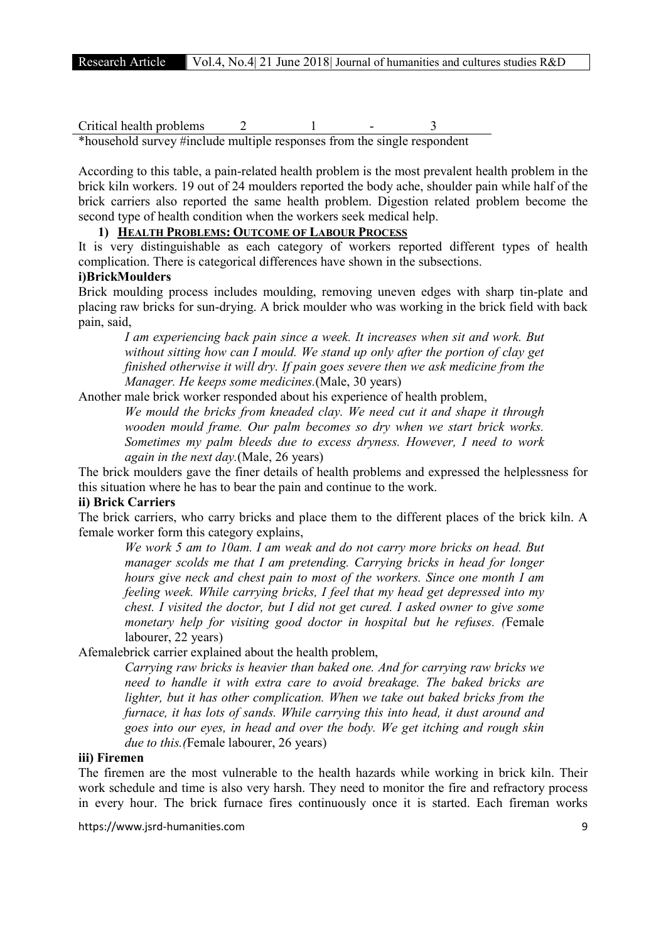$Critical$  health problems  $2 \t 1$ \*household survey #include multiple responses from the single respondent

According to this table, a pain-related health problem is the most prevalent health problem in the brick kiln workers. 19 out of 24 moulders reported the body ache, shoulder pain while half of the brick carriers also reported the same health problem. Digestion related problem become the second type of health condition when the workers seek medical help.

# 1) HEALTH PROBLEMS: OUTCOME OF LABOUR PROCESS

It is very distinguishable as each category of workers reported different types of health complication. There is categorical differences have shown in the subsections.

# i)BrickMoulders

Brick moulding process includes moulding, removing uneven edges with sharp tin-plate and placing raw bricks for sun-drying. A brick moulder who was working in the brick field with back pain, said,

*I am experiencing back pain since a week. It increases when sit and work. But without sitting how can I mould. We stand up only after the portion of clay get finished otherwise it will dry. If pain goes severe then we ask medicine from the Manager. He keeps some medicines.*(Male, 30 years)

Another male brick worker responded about his experience of health problem,

*We mould the bricks from kneaded clay. We need cut it and shape it through wooden mould frame. Our palm becomes so dry when we start brick works. Sometimes my palm bleeds due to excess dryness. However, I need to work again in the next day.*(Male, 26 years)

The brick moulders gave the finer details of health problems and expressed the helplessness for this situation where he has to bear the pain and continue to the work.

## ii) Brick Carriers

The brick carriers, who carry bricks and place them to the different places of the brick kiln. A female worker form this category explains,

*We work 5 am to 10am. I am weak and do not carry more bricks on head. But manager scolds me that I am pretending. Carrying bricks in head for longer hours give neck and chest pain to most of the workers. Since one month I am feeling week. While carrying bricks, I feel that my head get depressed into my chest. I visited the doctor, but I did not get cured. I asked owner to give some monetary help for visiting good doctor in hospital but he refuses. (*Female labourer, 22 years)

Afemalebrick carrier explained about the health problem,

*Carrying raw bricks is heavier than baked one. And for carrying raw bricks we need to handle it with extra care to avoid breakage. The baked bricks are lighter, but it has other complication. When we take out baked bricks from the furnace, it has lots of sands. While carrying this into head, it dust around and goes into our eyes, in head and over the body. We get itching and rough skin due to this.(*Female labourer, 26 years)

## iii) Firemen

The firemen are the most vulnerable to the health hazards while working in brick kiln. Their work schedule and time is also very harsh. They need to monitor the fire and refractory process in every hour. The brick furnace fires continuously once it is started. Each fireman works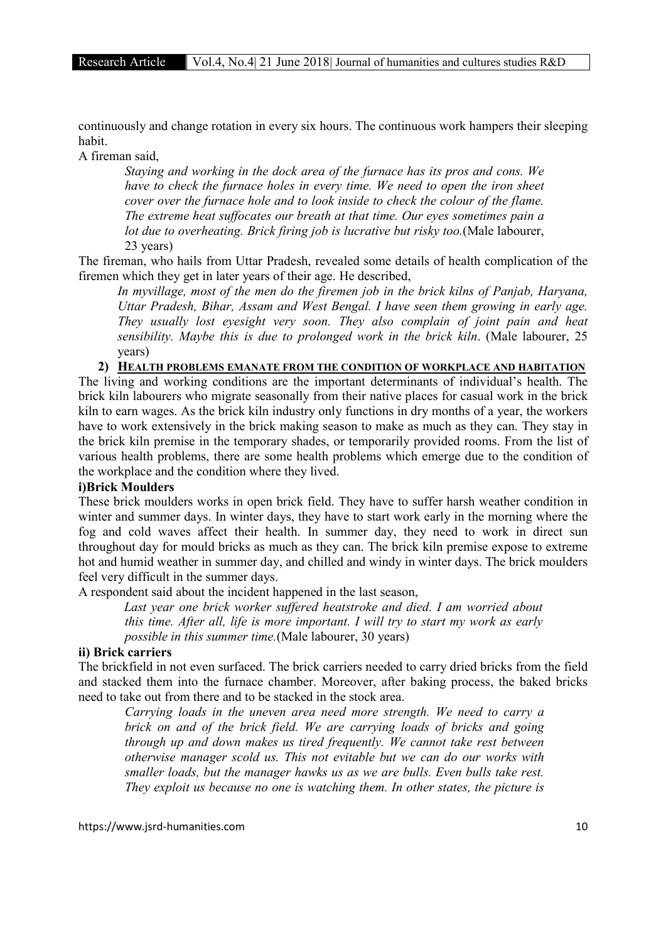continuously and change rotation in every six hours. The continuous work hampers their sleeping habit.

A fireman said,

*Staying and working in the dock area of the furnace has its pros and cons. We have to check the furnace holes in every time. We need to open the iron sheet cover over the furnace hole and to look inside to check the colour of the flame. The extreme heat suffocates our breath at that time. Our eyes sometimes pain a lot due to overheating. Brick firing job is lucrative but risky too.*(Male labourer, 23 years)

The fireman, who hails from Uttar Pradesh, revealed some details of health complication of the firemen which they get in later years of their age. He described,

*In myvillage, most of the men do the firemen job in the brick kilns of Panjab, Haryana, Uttar Pradesh, Bihar, Assam and West Bengal. I have seen them growing in early age. They usually lost eyesight very soon. They also complain of joint pain and heat sensibility. Maybe this is due to prolonged work in the brick kiln*. (Male labourer, 25 years)

## 2) HEALTH PROBLEMS EMANATE FROM THE CONDITION OF WORKPLACE AND HABITATION

The living and working conditions are the important determinants of individual's health. The brick kiln labourers who migrate seasonally from their native places for casual work in the brick kiln to earn wages. As the brick kiln industry only functions in dry months of a year, the workers have to work extensively in the brick making season to make as much as they can. They stay in the brick kiln premise in the temporary shades, or temporarily provided rooms. From the list of various health problems, there are some health problems which emerge due to the condition of the workplace and the condition where they lived.

## i)Brick Moulders

These brick moulders works in open brick field. They have to suffer harsh weather condition in winter and summer days. In winter days, they have to start work early in the morning where the fog and cold waves affect their health. In summer day, they need to work in direct sun throughout day for mould bricks as much as they can. The brick kiln premise expose to extreme hot and humid weather in summer day, and chilled and windy in winter days. The brick moulders feel very difficult in the summer days.

A respondent said about the incident happened in the last season,

 *Last year one brick worker suffered heatstroke and died. I am worried about this time. After all, life is more important. I will try to start my work as early possible in this summer time.*(Male labourer, 30 years)

#### ii) Brick carriers

The brickfield in not even surfaced. The brick carriers needed to carry dried bricks from the field and stacked them into the furnace chamber. Moreover, after baking process, the baked bricks need to take out from there and to be stacked in the stock area.

*Carrying loads in the uneven area need more strength. We need to carry a brick on and of the brick field. We are carrying loads of bricks and going through up and down makes us tired frequently. We cannot take rest between otherwise manager scold us. This not evitable but we can do our works with smaller loads, but the manager hawks us as we are bulls. Even bulls take rest. They exploit us because no one is watching them. In other states, the picture is*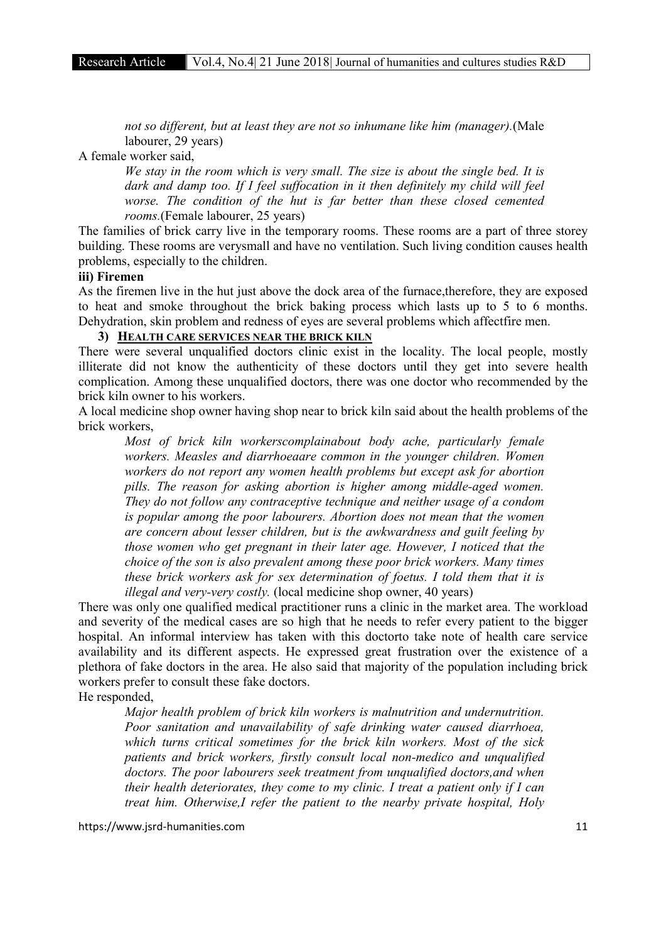*not so different, but at least they are not so inhumane like him (manager).*(Male labourer, 29 years)

A female worker said,

*We stay in the room which is very small. The size is about the single bed. It is dark and damp too. If I feel suffocation in it then definitely my child will feel worse. The condition of the hut is far better than these closed cemented rooms.*(Female labourer, 25 years)

The families of brick carry live in the temporary rooms. These rooms are a part of three storey building. These rooms are verysmall and have no ventilation. Such living condition causes health problems, especially to the children.

#### iii) Firemen

As the firemen live in the hut just above the dock area of the furnace,therefore, they are exposed to heat and smoke throughout the brick baking process which lasts up to 5 to 6 months. Dehydration, skin problem and redness of eyes are several problems which affectfire men.

## 3) HEALTH CARE SERVICES NEAR THE BRICK KILN

There were several unqualified doctors clinic exist in the locality. The local people, mostly illiterate did not know the authenticity of these doctors until they get into severe health complication. Among these unqualified doctors, there was one doctor who recommended by the brick kiln owner to his workers.

A local medicine shop owner having shop near to brick kiln said about the health problems of the brick workers,

*Most of brick kiln workerscomplainabout body ache, particularly female workers. Measles and diarrhoeaare common in the younger children. Women workers do not report any women health problems but except ask for abortion pills. The reason for asking abortion is higher among middle-aged women. They do not follow any contraceptive technique and neither usage of a condom is popular among the poor labourers. Abortion does not mean that the women are concern about lesser children, but is the awkwardness and guilt feeling by those women who get pregnant in their later age. However, I noticed that the choice of the son is also prevalent among these poor brick workers. Many times these brick workers ask for sex determination of foetus. I told them that it is illegal and very-very costly.* (local medicine shop owner, 40 years)

There was only one qualified medical practitioner runs a clinic in the market area. The workload and severity of the medical cases are so high that he needs to refer every patient to the bigger hospital. An informal interview has taken with this doctorto take note of health care service availability and its different aspects. He expressed great frustration over the existence of a plethora of fake doctors in the area. He also said that majority of the population including brick workers prefer to consult these fake doctors.

He responded,

*Major health problem of brick kiln workers is malnutrition and undernutrition. Poor sanitation and unavailability of safe drinking water caused diarrhoea, which turns critical sometimes for the brick kiln workers. Most of the sick patients and brick workers, firstly consult local non-medico and unqualified doctors. The poor labourers seek treatment from unqualified doctors,and when their health deteriorates, they come to my clinic. I treat a patient only if I can treat him. Otherwise,I refer the patient to the nearby private hospital, Holy*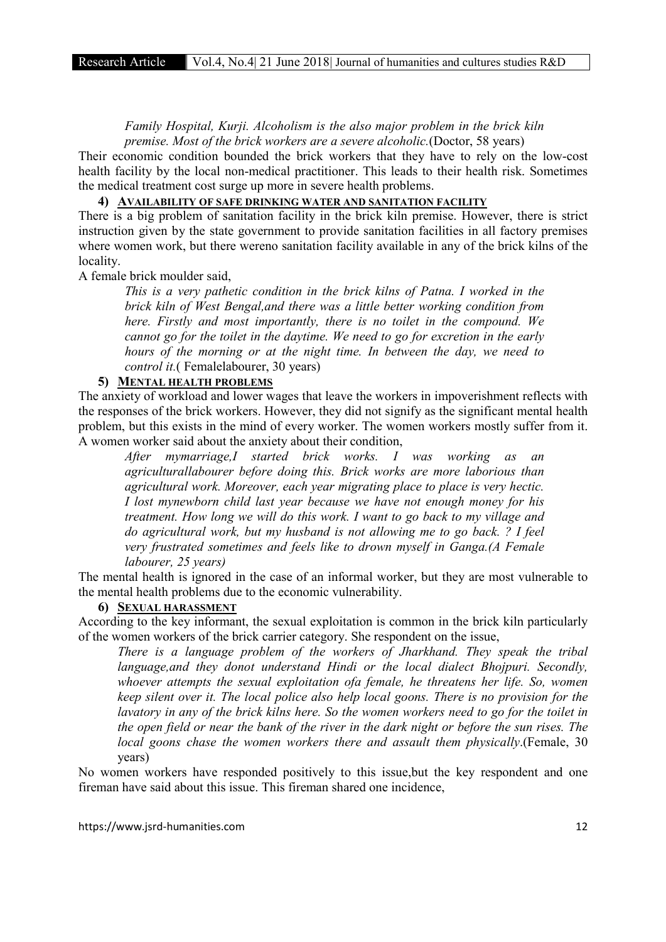*Family Hospital, Kurji. Alcoholism is the also major problem in the brick kiln premise. Most of the brick workers are a severe alcoholic.*(Doctor, 58 years)

Their economic condition bounded the brick workers that they have to rely on the low-cost health facility by the local non-medical practitioner. This leads to their health risk. Sometimes the medical treatment cost surge up more in severe health problems.

# 4) AVAILABILITY OF SAFE DRINKING WATER AND SANITATION FACILITY

There is a big problem of sanitation facility in the brick kiln premise. However, there is strict instruction given by the state government to provide sanitation facilities in all factory premises where women work, but there wereno sanitation facility available in any of the brick kilns of the locality.

A female brick moulder said,

*This is a very pathetic condition in the brick kilns of Patna. I worked in the brick kiln of West Bengal,and there was a little better working condition from here. Firstly and most importantly, there is no toilet in the compound. We cannot go for the toilet in the daytime. We need to go for excretion in the early hours of the morning or at the night time. In between the day, we need to control it.*( Femalelabourer, 30 years)

## 5) MENTAL HEALTH PROBLEMS

The anxiety of workload and lower wages that leave the workers in impoverishment reflects with the responses of the brick workers. However, they did not signify as the significant mental health problem, but this exists in the mind of every worker. The women workers mostly suffer from it. A women worker said about the anxiety about their condition,

*After mymarriage,I started brick works. I was working as an agriculturallabourer before doing this. Brick works are more laborious than agricultural work. Moreover, each year migrating place to place is very hectic. I lost mynewborn child last year because we have not enough money for his treatment. How long we will do this work. I want to go back to my village and do agricultural work, but my husband is not allowing me to go back. ? I feel very frustrated sometimes and feels like to drown myself in Ganga.(A Female labourer, 25 years)*

The mental health is ignored in the case of an informal worker, but they are most vulnerable to the mental health problems due to the economic vulnerability.

# 6) SEXUAL HARASSMENT

According to the key informant, the sexual exploitation is common in the brick kiln particularly of the women workers of the brick carrier category. She respondent on the issue,

*There is a language problem of the workers of Jharkhand. They speak the tribal language,and they donot understand Hindi or the local dialect Bhojpuri. Secondly, whoever attempts the sexual exploitation ofa female, he threatens her life. So, women keep silent over it. The local police also help local goons. There is no provision for the lavatory in any of the brick kilns here. So the women workers need to go for the toilet in the open field or near the bank of the river in the dark night or before the sun rises. The local goons chase the women workers there and assault them physically*.(Female, 30 years)

No women workers have responded positively to this issue,but the key respondent and one fireman have said about this issue. This fireman shared one incidence,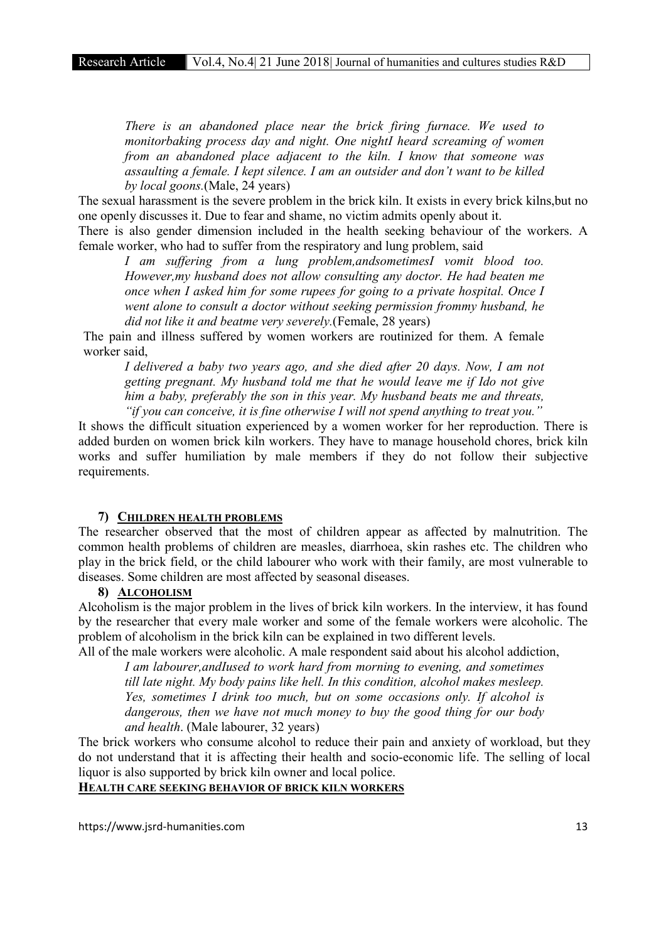*There is an abandoned place near the brick firing furnace. We used to monitorbaking process day and night. One nightI heard screaming of women from an abandoned place adjacent to the kiln. I know that someone was assaulting a female. I kept silence. I am an outsider and don't want to be killed by local goons.*(Male, 24 years)

The sexual harassment is the severe problem in the brick kiln. It exists in every brick kilns,but no one openly discusses it. Due to fear and shame, no victim admits openly about it.

There is also gender dimension included in the health seeking behaviour of the workers. A female worker, who had to suffer from the respiratory and lung problem, said

*I am suffering from a lung problem,andsometimesI vomit blood too. However,my husband does not allow consulting any doctor. He had beaten me once when I asked him for some rupees for going to a private hospital. Once I went alone to consult a doctor without seeking permission frommy husband, he did not like it and beatme very severely.*(Female, 28 years)

The pain and illness suffered by women workers are routinized for them. A female worker said,

*I delivered a baby two years ago, and she died after 20 days. Now, I am not getting pregnant. My husband told me that he would leave me if Ido not give him a baby, preferably the son in this year. My husband beats me and threats, "if you can conceive, it is fine otherwise I will not spend anything to treat you."*

It shows the difficult situation experienced by a women worker for her reproduction. There is added burden on women brick kiln workers. They have to manage household chores, brick kiln works and suffer humiliation by male members if they do not follow their subjective requirements.

#### 7) CHILDREN HEALTH PROBLEMS

The researcher observed that the most of children appear as affected by malnutrition. The common health problems of children are measles, diarrhoea, skin rashes etc. The children who play in the brick field, or the child labourer who work with their family, are most vulnerable to diseases. Some children are most affected by seasonal diseases.

#### 8) ALCOHOLISM

Alcoholism is the major problem in the lives of brick kiln workers. In the interview, it has found by the researcher that every male worker and some of the female workers were alcoholic. The problem of alcoholism in the brick kiln can be explained in two different levels.

All of the male workers were alcoholic. A male respondent said about his alcohol addiction, *I am labourer,andIused to work hard from morning to evening, and sometimes till late night. My body pains like hell. In this condition, alcohol makes mesleep. Yes, sometimes I drink too much, but on some occasions only. If alcohol is dangerous, then we have not much money to buy the good thing for our body and health*. (Male labourer, 32 years)

The brick workers who consume alcohol to reduce their pain and anxiety of workload, but they do not understand that it is affecting their health and socio-economic life. The selling of local liquor is also supported by brick kiln owner and local police.

# HEALTH CARE SEEKING BEHAVIOR OF BRICK KILN WORKERS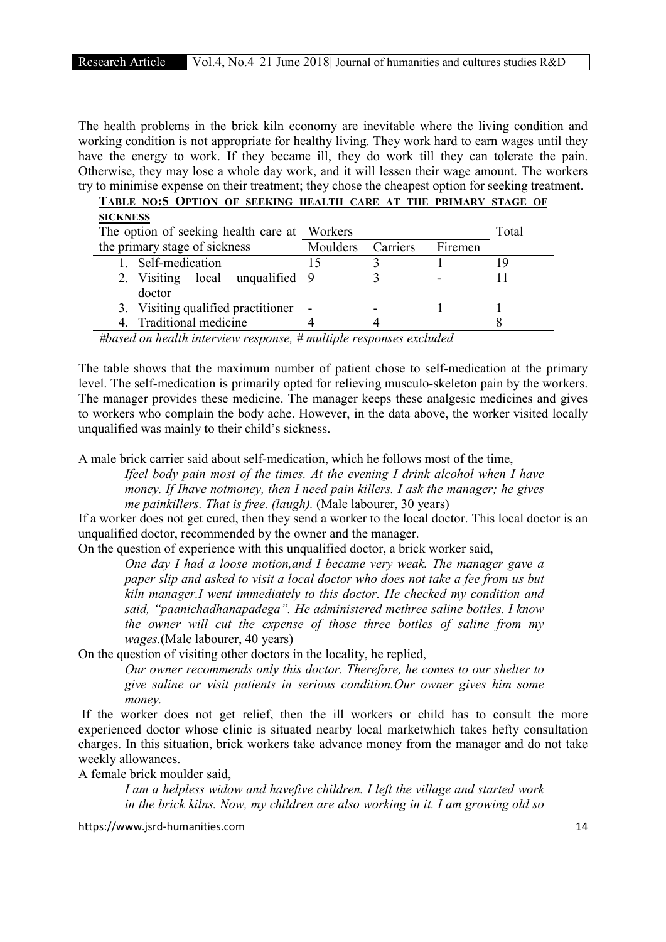The health problems in the brick kiln economy are inevitable where the living condition and working condition is not appropriate for healthy living. They work hard to earn wages until they have the energy to work. If they became ill, they do work till they can tolerate the pain. Otherwise, they may lose a whole day work, and it will lessen their wage amount. The workers try to minimise expense on their treatment; they chose the cheapest option for seeking treatment. TABLE NO:5 OPTION OF SEEKING HEALTH CARE AT THE PRIMARY STAGE OF

| TABLE NU.3 UPTIUN UP SEENING HEALTH CARE AT THE PRIMARY STAGE UP |          |          |         |       |
|------------------------------------------------------------------|----------|----------|---------|-------|
| <b>SICKNESS</b>                                                  |          |          |         |       |
| The option of seeking health care at Workers                     |          |          |         | Total |
| the primary stage of sickness                                    | Moulders | Carriers | Firemen |       |
| Self-medication                                                  |          |          |         | ۱9    |
| 2. Visiting local unqualified 9                                  |          |          |         |       |
| doctor                                                           |          |          |         |       |
| 3. Visiting qualified practitioner                               |          |          |         |       |
| 4. Traditional medicine                                          |          |          |         |       |

*#based on health interview response, # multiple responses excluded*

The table shows that the maximum number of patient chose to self-medication at the primary level. The self-medication is primarily opted for relieving musculo-skeleton pain by the workers. The manager provides these medicine. The manager keeps these analgesic medicines and gives to workers who complain the body ache. However, in the data above, the worker visited locally unqualified was mainly to their child's sickness.

A male brick carrier said about self-medication, which he follows most of the time,

*Ifeel body pain most of the times. At the evening I drink alcohol when I have money. If Ihave notmoney, then I need pain killers. I ask the manager; he gives me painkillers. That is free. (laugh).* (Male labourer, 30 years)

If a worker does not get cured, then they send a worker to the local doctor. This local doctor is an unqualified doctor, recommended by the owner and the manager.

On the question of experience with this unqualified doctor, a brick worker said,

*One day I had a loose motion,and I became very weak. The manager gave a paper slip and asked to visit a local doctor who does not take a fee from us but kiln manager.I went immediately to this doctor. He checked my condition and said, "paanichadhanapadega". He administered methree saline bottles. I know the owner will cut the expense of those three bottles of saline from my wages.*(Male labourer, 40 years)

On the question of visiting other doctors in the locality, he replied,

*Our owner recommends only this doctor. Therefore, he comes to our shelter to give saline or visit patients in serious condition.Our owner gives him some money.* 

If the worker does not get relief, then the ill workers or child has to consult the more experienced doctor whose clinic is situated nearby local marketwhich takes hefty consultation charges. In this situation, brick workers take advance money from the manager and do not take weekly allowances.

A female brick moulder said,

*I am a helpless widow and havefive children. I left the village and started work in the brick kilns. Now, my children are also working in it. I am growing old so*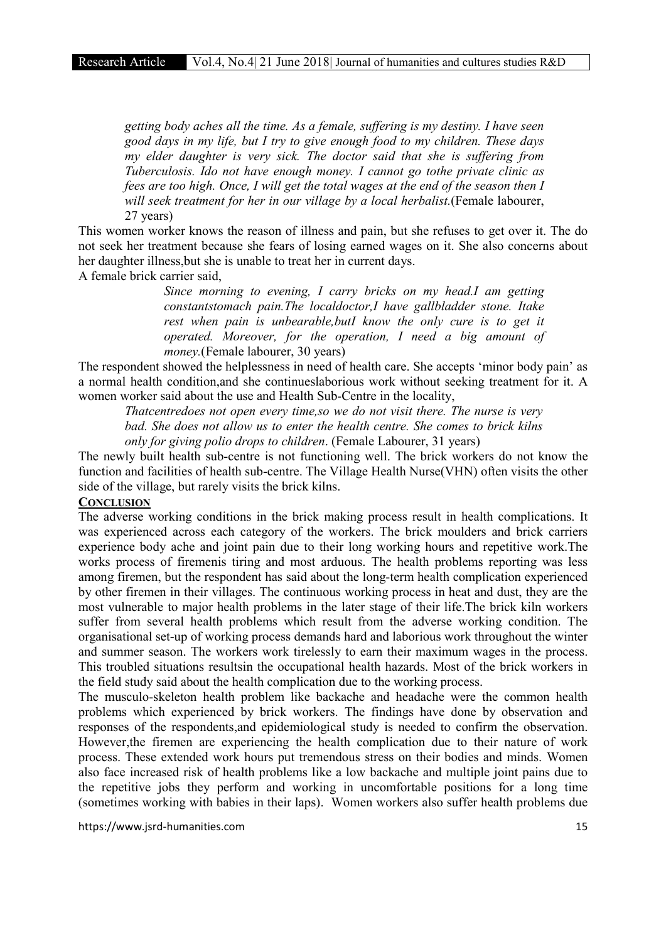*getting body aches all the time. As a female, suffering is my destiny. I have seen good days in my life, but I try to give enough food to my children. These days my elder daughter is very sick. The doctor said that she is suffering from Tuberculosis. Ido not have enough money. I cannot go tothe private clinic as fees are too high. Once, I will get the total wages at the end of the season then I will seek treatment for her in our village by a local herbalist.*(Female labourer, 27 years)

This women worker knows the reason of illness and pain, but she refuses to get over it. The do not seek her treatment because she fears of losing earned wages on it. She also concerns about her daughter illness,but she is unable to treat her in current days.

A female brick carrier said,

*Since morning to evening, I carry bricks on my head.I am getting constantstomach pain.The localdoctor,I have gallbladder stone. Itake rest when pain is unbearable,butI know the only cure is to get it operated. Moreover, for the operation, I need a big amount of money.*(Female labourer, 30 years)

The respondent showed the helplessness in need of health care. She accepts 'minor body pain' as a normal health condition,and she continueslaborious work without seeking treatment for it. A women worker said about the use and Health Sub-Centre in the locality,

*Thatcentredoes not open every time,so we do not visit there. The nurse is very bad. She does not allow us to enter the health centre. She comes to brick kilns only for giving polio drops to children*. (Female Labourer, 31 years)

The newly built health sub-centre is not functioning well. The brick workers do not know the function and facilities of health sub-centre. The Village Health Nurse(VHN) often visits the other side of the village, but rarely visits the brick kilns.

#### **CONCLUSION**

The adverse working conditions in the brick making process result in health complications. It was experienced across each category of the workers. The brick moulders and brick carriers experience body ache and joint pain due to their long working hours and repetitive work.The works process of firemenis tiring and most arduous. The health problems reporting was less among firemen, but the respondent has said about the long-term health complication experienced by other firemen in their villages. The continuous working process in heat and dust, they are the most vulnerable to major health problems in the later stage of their life.The brick kiln workers suffer from several health problems which result from the adverse working condition. The organisational set-up of working process demands hard and laborious work throughout the winter and summer season. The workers work tirelessly to earn their maximum wages in the process. This troubled situations resultsin the occupational health hazards. Most of the brick workers in the field study said about the health complication due to the working process.

The musculo-skeleton health problem like backache and headache were the common health problems which experienced by brick workers. The findings have done by observation and responses of the respondents,and epidemiological study is needed to confirm the observation. However,the firemen are experiencing the health complication due to their nature of work process. These extended work hours put tremendous stress on their bodies and minds. Women also face increased risk of health problems like a low backache and multiple joint pains due to the repetitive jobs they perform and working in uncomfortable positions for a long time (sometimes working with babies in their laps). Women workers also suffer health problems due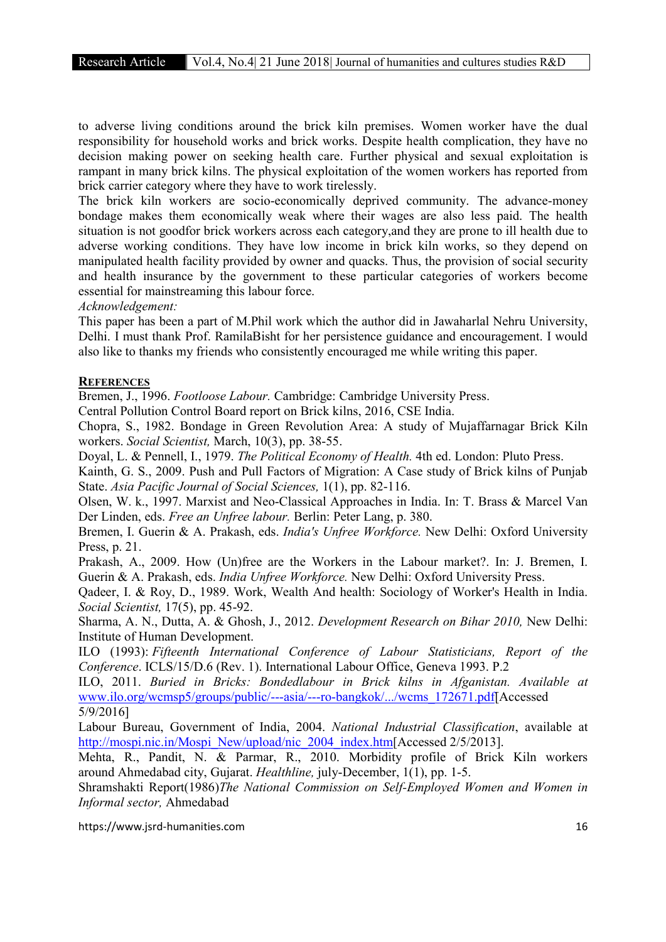to adverse living conditions around the brick kiln premises. Women worker have the dual responsibility for household works and brick works. Despite health complication, they have no decision making power on seeking health care. Further physical and sexual exploitation is rampant in many brick kilns. The physical exploitation of the women workers has reported from brick carrier category where they have to work tirelessly.

The brick kiln workers are socio-economically deprived community. The advance-money bondage makes them economically weak where their wages are also less paid. The health situation is not goodfor brick workers across each category,and they are prone to ill health due to adverse working conditions. They have low income in brick kiln works, so they depend on manipulated health facility provided by owner and quacks. Thus, the provision of social security and health insurance by the government to these particular categories of workers become essential for mainstreaming this labour force.

*Acknowledgement:*

This paper has been a part of M.Phil work which the author did in Jawaharlal Nehru University, Delhi. I must thank Prof. RamilaBisht for her persistence guidance and encouragement. I would also like to thanks my friends who consistently encouraged me while writing this paper.

#### **REFERENCES**

Bremen, J., 1996. *Footloose Labour.* Cambridge: Cambridge University Press.

Central Pollution Control Board report on Brick kilns, 2016, CSE India.

Chopra, S., 1982. Bondage in Green Revolution Area: A study of Mujaffarnagar Brick Kiln workers. *Social Scientist,* March, 10(3), pp. 38-55.

Doyal, L. & Pennell, I., 1979. *The Political Economy of Health.* 4th ed. London: Pluto Press.

Kainth, G. S., 2009. Push and Pull Factors of Migration: A Case study of Brick kilns of Punjab State. *Asia Pacific Journal of Social Sciences,* 1(1), pp. 82-116.

Olsen, W. k., 1997. Marxist and Neo-Classical Approaches in India. In: T. Brass & Marcel Van Der Linden, eds. *Free an Unfree labour.* Berlin: Peter Lang, p. 380.

Bremen, I. Guerin & A. Prakash, eds. *India's Unfree Workforce.* New Delhi: Oxford University Press, p. 21.

Prakash, A., 2009. How (Un)free are the Workers in the Labour market?. In: J. Bremen, I. Guerin & A. Prakash, eds. *India Unfree Workforce.* New Delhi: Oxford University Press.

Qadeer, I. & Roy, D., 1989. Work, Wealth And health: Sociology of Worker's Health in India. *Social Scientist,* 17(5), pp. 45-92.

Sharma, A. N., Dutta, A. & Ghosh, J., 2012. *Development Research on Bihar 2010,* New Delhi: Institute of Human Development.

ILO (1993): *Fifteenth International Conference of Labour Statisticians, Report of the Conference*. ICLS/15/D.6 (Rev. 1). International Labour Office, Geneva 1993. P.2

ILO, 2011. *Buried in Bricks: Bondedlabour in Brick kilns in Afganistan. Available at*  www.ilo.org/wcmsp5/groups/public/---asia/---ro-bangkok/.../wcms\_172671.pdf[Accessed 5/9/2016]

Labour Bureau, Government of India, 2004. *National Industrial Classification*, available at http://mospi.nic.in/Mospi\_New/upload/nic\_2004\_index.htm[Accessed 2/5/2013].

Mehta, R., Pandit, N. & Parmar, R., 2010. Morbidity profile of Brick Kiln workers around Ahmedabad city, Gujarat. *Healthline,* july-December, 1(1), pp. 1-5.

Shramshakti Report(1986)*The National Commission on Self-Employed Women and Women in Informal sector,* Ahmedabad